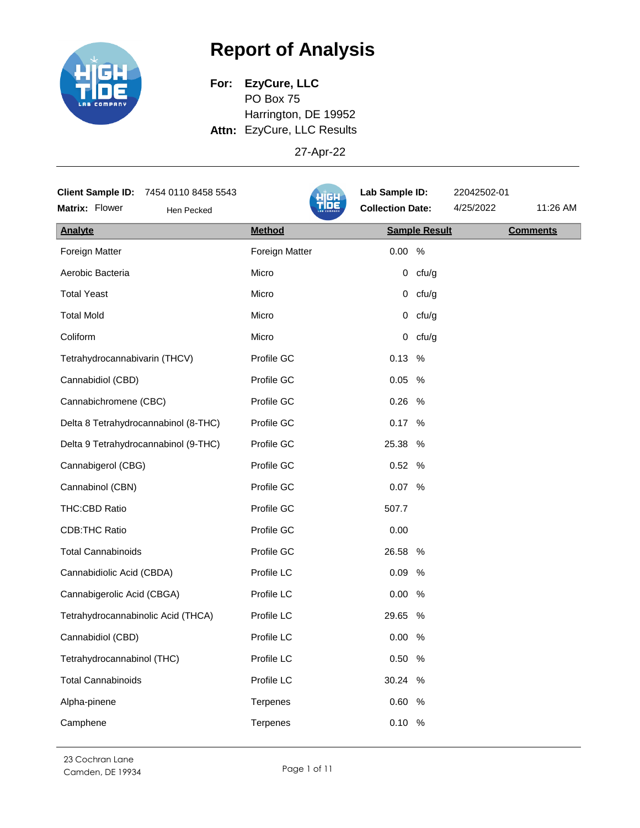# **Report of Analysis**



**EzyCure, LLC For: Attn:** EzyCure, LLC Results PO Box 75 Harrington, DE 19952

27-Apr-22

| <b>Client Sample ID:</b><br>7454 0110 8458 5543 |                | Lab Sample ID:          | 22042502-01 |                 |
|-------------------------------------------------|----------------|-------------------------|-------------|-----------------|
| Matrix: Flower<br>Hen Pecked                    | <u>ine</u>     | <b>Collection Date:</b> | 4/25/2022   | 11:26 AM        |
| <b>Analyte</b>                                  | <b>Method</b>  | <b>Sample Result</b>    |             | <b>Comments</b> |
| Foreign Matter                                  | Foreign Matter | 0.00<br>$\%$            |             |                 |
| Aerobic Bacteria                                | Micro          | $0$ cfu/g               |             |                 |
| <b>Total Yeast</b>                              | Micro          | $0$ cfu/g               |             |                 |
| <b>Total Mold</b>                               | Micro          | cfu/g<br>0              |             |                 |
| Coliform                                        | Micro          | cfu/g<br>0              |             |                 |
| Tetrahydrocannabivarin (THCV)                   | Profile GC     | 0.13<br>%               |             |                 |
| Cannabidiol (CBD)                               | Profile GC     | 0.05<br>%               |             |                 |
| Cannabichromene (CBC)                           | Profile GC     | 0.26<br>%               |             |                 |
| Delta 8 Tetrahydrocannabinol (8-THC)            | Profile GC     | $\%$<br>0.17            |             |                 |
| Delta 9 Tetrahydrocannabinol (9-THC)            | Profile GC     | 25.38<br>%              |             |                 |
| Cannabigerol (CBG)                              | Profile GC     | 0.52<br>%               |             |                 |
| Cannabinol (CBN)                                | Profile GC     | $\%$<br>0.07            |             |                 |
| THC:CBD Ratio                                   | Profile GC     | 507.7                   |             |                 |
| <b>CDB:THC Ratio</b>                            | Profile GC     | 0.00                    |             |                 |
| <b>Total Cannabinoids</b>                       | Profile GC     | 26.58<br>%              |             |                 |
| Cannabidiolic Acid (CBDA)                       | Profile LC     | 0.09<br>%               |             |                 |
| Cannabigerolic Acid (CBGA)                      | Profile LC     | 0.00<br>$\%$            |             |                 |
| Tetrahydrocannabinolic Acid (THCA)              | Profile LC     | 29.65<br>%              |             |                 |
| Cannabidiol (CBD)                               | Profile LC     | 0.00<br>%               |             |                 |
| Tetrahydrocannabinol (THC)                      | Profile LC     | 0.50 %                  |             |                 |
| <b>Total Cannabinoids</b>                       | Profile LC     | 30.24 %                 |             |                 |
| Alpha-pinene                                    | Terpenes       | 0.60%                   |             |                 |
| Camphene                                        | Terpenes       | 0.10 %                  |             |                 |
|                                                 |                |                         |             |                 |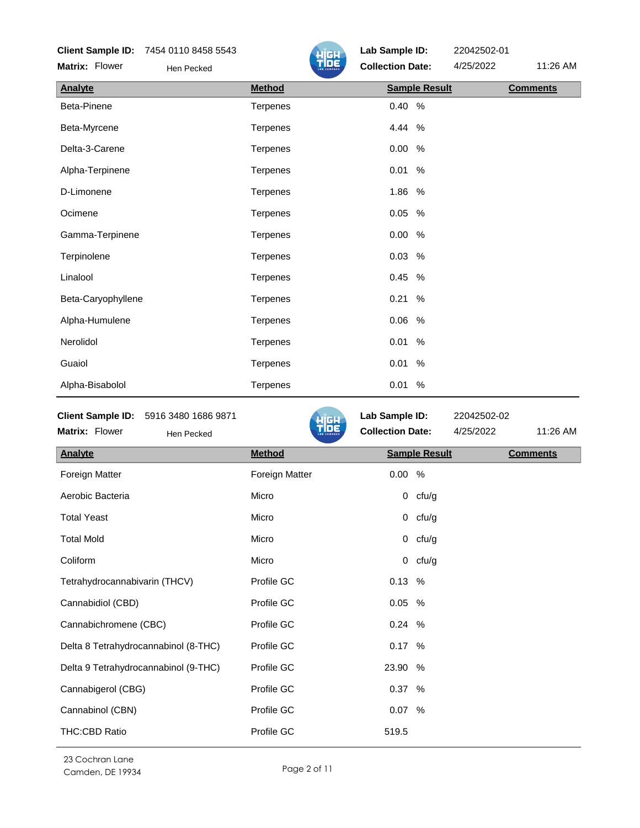# **Client Sample ID:** 7454 0110 8458 5543

Flower Hen Pecked **Flower Hension Collection Date:** 4/25/2022 11:26 AM **Matrix:**



| <b>Analyte</b>     | <b>Method</b>   | <b>Sample Result</b> | <b>Comments</b> |
|--------------------|-----------------|----------------------|-----------------|
| Beta-Pinene        | Terpenes        | 0.40%                |                 |
| Beta-Myrcene       | Terpenes        | 4.44 %               |                 |
| Delta-3-Carene     | Terpenes        | 0.00<br>$\%$         |                 |
| Alpha-Terpinene    | Terpenes        | 0.01<br>%            |                 |
| D-Limonene         | Terpenes        | 1.86<br>%            |                 |
| Ocimene            | Terpenes        | 0.05<br>%            |                 |
| Gamma-Terpinene    | Terpenes        | 0.00<br>$\%$         |                 |
| Terpinolene        | Terpenes        | 0.03<br>%            |                 |
| Linalool           | Terpenes        | 0.45<br>$\%$         |                 |
| Beta-Caryophyllene | Terpenes        | 0.21<br>%            |                 |
| Alpha-Humulene     | Terpenes        | 0.06<br>%            |                 |
| Nerolidol          | Terpenes        | 0.01<br>%            |                 |
| Guaiol             | Terpenes        | 0.01<br>%            |                 |
| Alpha-Bisabolol    | <b>Terpenes</b> | $\%$<br>0.01         |                 |

| <b>Client Sample ID:</b><br>5916 3480 1686 9871 | HÌGH           | Lab Sample ID:          | 22042502-02 |                 |
|-------------------------------------------------|----------------|-------------------------|-------------|-----------------|
| Matrix: Flower<br>Hen Pecked                    | TIDE           | <b>Collection Date:</b> | 4/25/2022   | 11:26 AM        |
| <b>Analyte</b>                                  | <b>Method</b>  | <b>Sample Result</b>    |             | <b>Comments</b> |
| Foreign Matter                                  | Foreign Matter | 0.00<br>%               |             |                 |
| Aerobic Bacteria                                | Micro          | $0$ cfu/g               |             |                 |
| <b>Total Yeast</b>                              | Micro          | cfu/g<br>$\mathbf{0}$   |             |                 |
| <b>Total Mold</b>                               | Micro          | $0$ cfu/g               |             |                 |
| Coliform                                        | Micro          | $0$ cfu/g               |             |                 |
| Tetrahydrocannabivarin (THCV)                   | Profile GC     | 0.13 %                  |             |                 |
| Cannabidiol (CBD)                               | Profile GC     | $0.05\%$                |             |                 |
| Cannabichromene (CBC)                           | Profile GC     | 0.24%                   |             |                 |
| Delta 8 Tetrahydrocannabinol (8-THC)            | Profile GC     | 0.17 %                  |             |                 |
| Delta 9 Tetrahydrocannabinol (9-THC)            | Profile GC     | 23.90 %                 |             |                 |
| Cannabigerol (CBG)                              | Profile GC     | 0.37 %                  |             |                 |
| Cannabinol (CBN)                                | Profile GC     | 0.07 %                  |             |                 |
| <b>THC:CBD Ratio</b>                            | Profile GC     | 519.5                   |             |                 |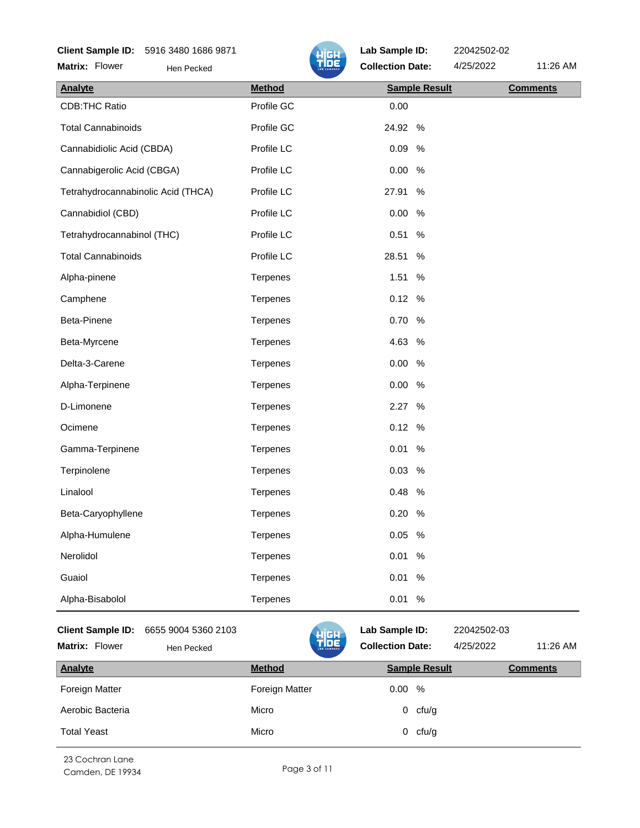#### **Client Sample ID:** 5916 3480 1686 9871

Flower Hen Pecked **Flower Hension Collection Date:** 4/25/2022 11:26 AM **Matrix:**



**Lab Sample ID:** 22042502-02

| <b>Analyte</b>                     | <b>Method</b> | <b>Sample Result</b> | <b>Comments</b> |
|------------------------------------|---------------|----------------------|-----------------|
| <b>CDB:THC Ratio</b>               | Profile GC    | 0.00                 |                 |
| <b>Total Cannabinoids</b>          | Profile GC    | 24.92<br>%           |                 |
| Cannabidiolic Acid (CBDA)          | Profile LC    | 0.09<br>$\%$         |                 |
| Cannabigerolic Acid (CBGA)         | Profile LC    | 0.00<br>%            |                 |
| Tetrahydrocannabinolic Acid (THCA) | Profile LC    | 27.91<br>%           |                 |
| Cannabidiol (CBD)                  | Profile LC    | 0.00<br>%            |                 |
| Tetrahydrocannabinol (THC)         | Profile LC    | 0.51<br>%            |                 |
| <b>Total Cannabinoids</b>          | Profile LC    | 28.51<br>%           |                 |
| Alpha-pinene                       | Terpenes      | 1.51<br>%            |                 |
| Camphene                           | Terpenes      | 0.12<br>%            |                 |
| Beta-Pinene                        | Terpenes      | 0.70<br>$\%$         |                 |
| Beta-Myrcene                       | Terpenes      | 4.63<br>%            |                 |
| Delta-3-Carene                     | Terpenes      | 0.00<br>$\%$         |                 |
| Alpha-Terpinene                    | Terpenes      | 0.00<br>%            |                 |
| D-Limonene                         | Terpenes      | 2.27<br>%            |                 |
| Ocimene                            | Terpenes      | 0.12<br>%            |                 |
| Gamma-Terpinene                    | Terpenes      | 0.01<br>%            |                 |
| Terpinolene                        | Terpenes      | 0.03<br>$\%$         |                 |
| Linalool                           | Terpenes      | 0.48<br>%            |                 |
| Beta-Caryophyllene                 | Terpenes      | 0.20<br>$\%$         |                 |
| Alpha-Humulene                     | Terpenes      | 0.05<br>$\%$         |                 |
| Nerolidol                          | Terpenes      | 0.01<br>$\%$         |                 |
| Guaiol                             | Terpenes      | 0.01<br>$\%$         |                 |
| Alpha-Bisabolol                    | Terpenes      | 0.01<br>$\%$         |                 |

## **Client Sample ID:** 6655 9004 5360 2103



| <b>Matrix: Flower</b> | Hen Pecked | The            | <b>Collection Date:</b> | 4/25/2022 | 11:26 AM        |
|-----------------------|------------|----------------|-------------------------|-----------|-----------------|
| Analyte               |            | <b>Method</b>  | <b>Sample Result</b>    |           | <b>Comments</b> |
| Foreign Matter        |            | Foreign Matter | $0.00\,$<br>%           |           |                 |
| Aerobic Bacteria      |            | Micro          | $0$ cfu/g               |           |                 |
| <b>Total Yeast</b>    |            | Micro          | cfu/g<br>0              |           |                 |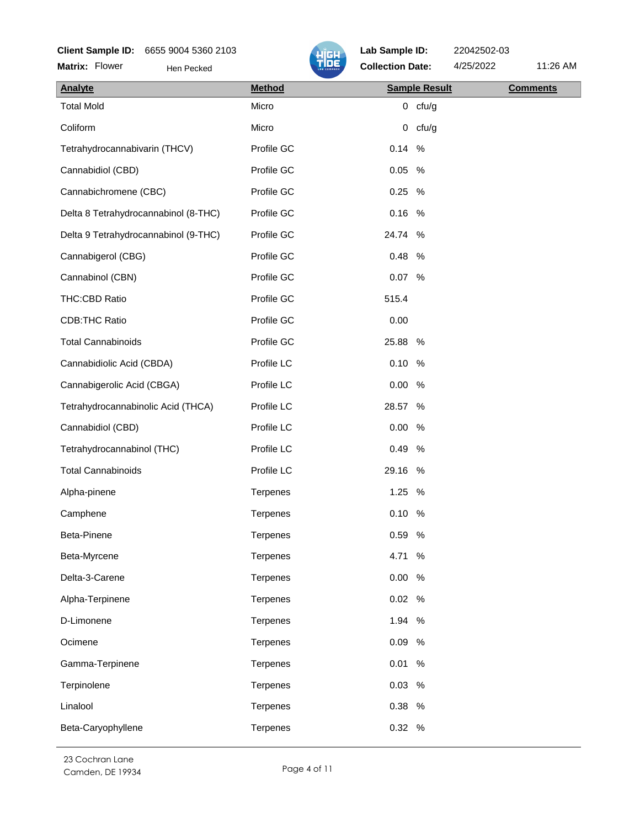## **Client Sample ID:** 6655 9004 5360 2103

Flower Hen Pecked **Flower Hension Collection Date:** 4/25/2022 11:26 AM **Matrix:**

| <b>Analyte</b>                       | <b>Method</b> |        | <b>Sample Result</b> | <b>Comments</b> |
|--------------------------------------|---------------|--------|----------------------|-----------------|
| <b>Total Mold</b>                    | Micro         |        | $0$ cfu/g            |                 |
| Coliform                             | Micro         | 0      | cfu/g                |                 |
| Tetrahydrocannabivarin (THCV)        | Profile GC    | 0.14   | %                    |                 |
| Cannabidiol (CBD)                    | Profile GC    | 0.05   | %                    |                 |
| Cannabichromene (CBC)                | Profile GC    | 0.25   | $\%$                 |                 |
| Delta 8 Tetrahydrocannabinol (8-THC) | Profile GC    | 0.16   | %                    |                 |
| Delta 9 Tetrahydrocannabinol (9-THC) | Profile GC    | 24.74  | %                    |                 |
| Cannabigerol (CBG)                   | Profile GC    | 0.48   | %                    |                 |
| Cannabinol (CBN)                     | Profile GC    | 0.07   | %                    |                 |
| THC:CBD Ratio                        | Profile GC    | 515.4  |                      |                 |
| <b>CDB:THC Ratio</b>                 | Profile GC    | 0.00   |                      |                 |
| <b>Total Cannabinoids</b>            | Profile GC    | 25.88  | $\%$                 |                 |
| Cannabidiolic Acid (CBDA)            | Profile LC    | 0.10 % |                      |                 |
| Cannabigerolic Acid (CBGA)           | Profile LC    | 0.00   | %                    |                 |
| Tetrahydrocannabinolic Acid (THCA)   | Profile LC    | 28.57  | %                    |                 |
| Cannabidiol (CBD)                    | Profile LC    | 0.00   | $\%$                 |                 |
| Tetrahydrocannabinol (THC)           | Profile LC    | 0.49   | %                    |                 |
| <b>Total Cannabinoids</b>            | Profile LC    | 29.16  | %                    |                 |
| Alpha-pinene                         | Terpenes      | 1.25   | $\%$                 |                 |
| Camphene                             | Terpenes      | 0.10%  |                      |                 |
| Beta-Pinene                          | Terpenes      | 0.59 % |                      |                 |
| Beta-Myrcene                         | Terpenes      | 4.71   | %                    |                 |
| Delta-3-Carene                       | Terpenes      | 0.00   | $\%$                 |                 |
| Alpha-Terpinene                      | Terpenes      | 0.02   | $\%$                 |                 |
| D-Limonene                           | Terpenes      | 1.94   | %                    |                 |
| Ocimene                              | Terpenes      | 0.09   | $\%$                 |                 |
| Gamma-Terpinene                      | Terpenes      | 0.01   | $\%$                 |                 |
| Terpinolene                          | Terpenes      | 0.03   | $\%$                 |                 |
| Linalool                             | Terpenes      | 0.38   | $\%$                 |                 |
| Beta-Caryophyllene                   | Terpenes      | 0.32 % |                      |                 |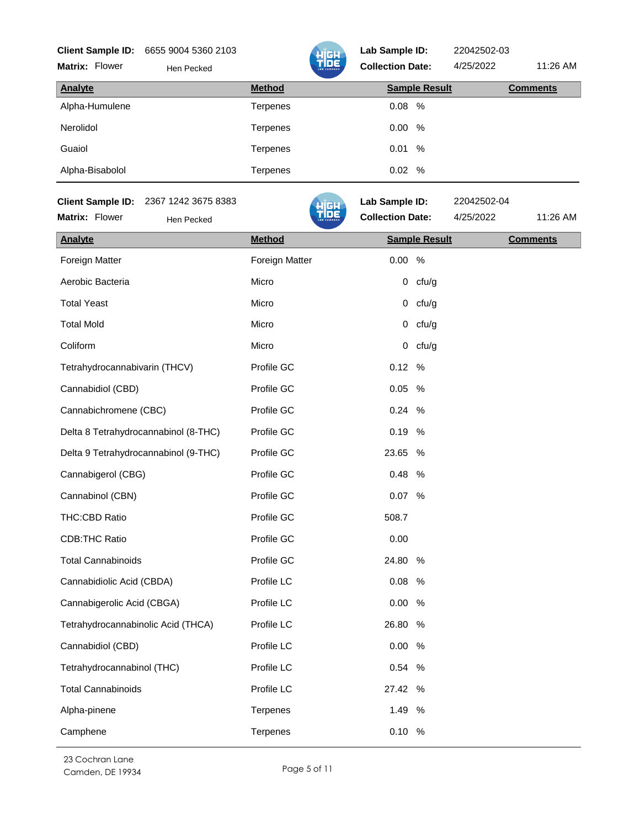#### **Client Sample ID:** 6655 9004 5360 2103

Flower Hen Pecked **Flower Hension Collection Date:** 4/25/2022 11:26 AM **Matrix:**



**Lab Sample ID:** 22042502-03

**Lab Sample ID:** 22042502-04

| <b>Analyte</b>  | <b>Method</b> | <b>Sample Result</b> | <b>Comments</b> |
|-----------------|---------------|----------------------|-----------------|
| Alpha-Humulene  | Terpenes      | $0.08\%$             |                 |
| Nerolidol       | Terpenes      | 0.00%                |                 |
| Guaiol          | Terpenes      | 0.01 %               |                 |
| Alpha-Bisabolol | Terpenes      | 0.02 %               |                 |

## **Client Sample ID:** 2367 1242 3675 8383

**Matrix:**



| <b>Analyte</b>                       | <b>Method</b>  |        | <b>Sample Result</b> | <b>Comments</b> |
|--------------------------------------|----------------|--------|----------------------|-----------------|
| Foreign Matter                       | Foreign Matter | 0.00 % |                      |                 |
| Aerobic Bacteria                     | Micro          |        | $0$ cfu/g            |                 |
| <b>Total Yeast</b>                   | Micro          |        | $0$ cfu/g            |                 |
| <b>Total Mold</b>                    | Micro          | 0      | cfu/g                |                 |
| Coliform                             | Micro          | 0      | cfu/g                |                 |
| Tetrahydrocannabivarin (THCV)        | Profile GC     | 0.12   | %                    |                 |
| Cannabidiol (CBD)                    | Profile GC     | 0.05   | %                    |                 |
| Cannabichromene (CBC)                | Profile GC     | 0.24   | %                    |                 |
| Delta 8 Tetrahydrocannabinol (8-THC) | Profile GC     | 0.19   | %                    |                 |
| Delta 9 Tetrahydrocannabinol (9-THC) | Profile GC     | 23.65  | $\%$                 |                 |
| Cannabigerol (CBG)                   | Profile GC     | 0.48   | $\%$                 |                 |
| Cannabinol (CBN)                     | Profile GC     | 0.07   | %                    |                 |
| THC:CBD Ratio                        | Profile GC     | 508.7  |                      |                 |
| <b>CDB:THC Ratio</b>                 | Profile GC     | 0.00   |                      |                 |
| <b>Total Cannabinoids</b>            | Profile GC     | 24.80  | $\%$                 |                 |
| Cannabidiolic Acid (CBDA)            | Profile LC     | 0.08   | %                    |                 |
| Cannabigerolic Acid (CBGA)           | Profile LC     | 0.00   | %                    |                 |
| Tetrahydrocannabinolic Acid (THCA)   | Profile LC     | 26.80  | %                    |                 |
| Cannabidiol (CBD)                    | Profile LC     | 0.00   | $\%$                 |                 |
| Tetrahydrocannabinol (THC)           | Profile LC     | 0.54   | %                    |                 |
| <b>Total Cannabinoids</b>            | Profile LC     | 27.42  | %                    |                 |
| Alpha-pinene                         | Terpenes       | 1.49   | $\%$                 |                 |
| Camphene                             | Terpenes       | 0.10   | %                    |                 |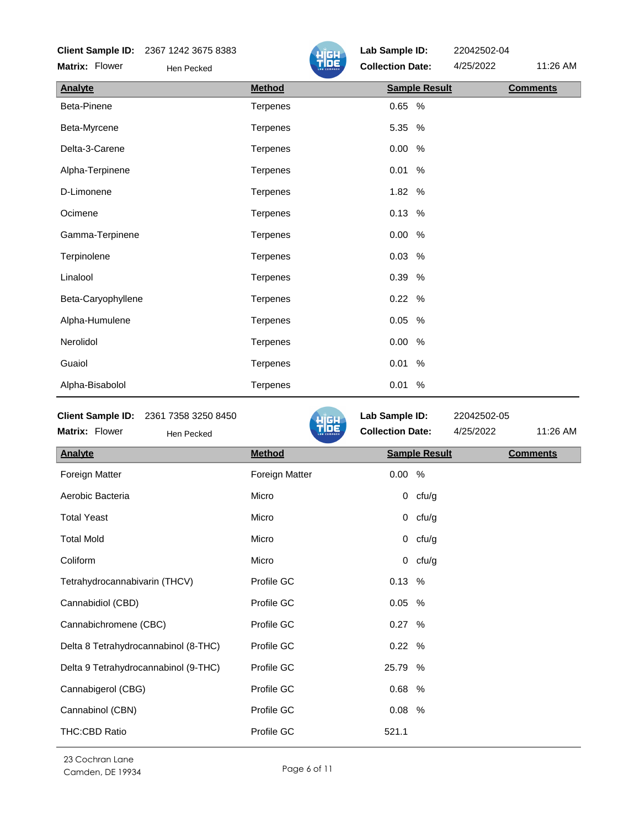## **Client Sample ID:** 2367 1242 3675 8383

Flower Hen Pecked **Flower Hension Collection Date:** 4/25/2022 11:26 AM **Matrix:**



| <b>Analyte</b>     | <b>Method</b>   | <b>Sample Result</b> | <b>Comments</b> |
|--------------------|-----------------|----------------------|-----------------|
| Beta-Pinene        | Terpenes        | 0.65 %               |                 |
| Beta-Myrcene       | Terpenes        | 5.35 %               |                 |
| Delta-3-Carene     | Terpenes        | 0.00 %               |                 |
| Alpha-Terpinene    | Terpenes        | 0.01<br>%            |                 |
| D-Limonene         | Terpenes        | 1.82 %               |                 |
| Ocimene            | Terpenes        | 0.13<br>$\%$         |                 |
| Gamma-Terpinene    | Terpenes        | 0.00<br>$\%$         |                 |
| Terpinolene        | Terpenes        | 0.03<br>%            |                 |
| Linalool           | Terpenes        | 0.39 %               |                 |
| Beta-Caryophyllene | Terpenes        | 0.22<br>%            |                 |
| Alpha-Humulene     | Terpenes        | 0.05<br>$\%$         |                 |
| Nerolidol          | Terpenes        | 0.00<br>%            |                 |
| Guaiol             | Terpenes        | %<br>0.01            |                 |
| Alpha-Bisabolol    | <b>Terpenes</b> | 0.01<br>%            |                 |

| $C$ lient Sample ID: $2361,7358,3250,8450$ |  |
|--------------------------------------------|--|

| <b>Client Sample ID:</b><br>2361 7358 3250 8450 |                | Lab Sample ID:          | 22042502-05 |                 |
|-------------------------------------------------|----------------|-------------------------|-------------|-----------------|
| Matrix: Flower<br>Hen Pecked                    |                | <b>Collection Date:</b> | 4/25/2022   | 11:26 AM        |
| <b>Analyte</b>                                  | <b>Method</b>  | <b>Sample Result</b>    |             | <b>Comments</b> |
| Foreign Matter                                  | Foreign Matter | 0.00 %                  |             |                 |
| Aerobic Bacteria                                | Micro          | $0$ cfu/g               |             |                 |
| <b>Total Yeast</b>                              | Micro          | $0$ cfu/g               |             |                 |
| <b>Total Mold</b>                               | Micro          | $0$ cfu/g               |             |                 |
| Coliform                                        | Micro          | cfu/g<br>$\mathbf{0}$   |             |                 |
| Tetrahydrocannabivarin (THCV)                   | Profile GC     | 0.13 %                  |             |                 |
| Cannabidiol (CBD)                               | Profile GC     | 0.05 %                  |             |                 |
| Cannabichromene (CBC)                           | Profile GC     | 0.27 %                  |             |                 |
| Delta 8 Tetrahydrocannabinol (8-THC)            | Profile GC     | 0.22 %                  |             |                 |
| Delta 9 Tetrahydrocannabinol (9-THC)            | Profile GC     | 25.79 %                 |             |                 |
| Cannabigerol (CBG)                              | Profile GC     | 0.68 %                  |             |                 |
| Cannabinol (CBN)                                | Profile GC     | 0.08 %                  |             |                 |
| THC:CBD Ratio                                   | Profile GC     | 521.1                   |             |                 |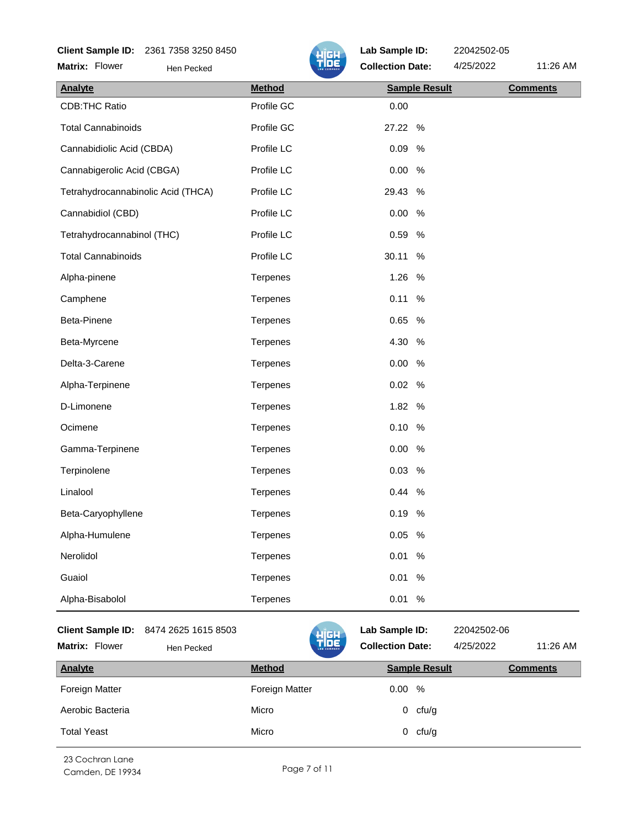#### **Client Sample ID:** 2361 7358 3250 8450

Flower Hen Pecked **Flower Hension Collection Date:** 4/25/2022 11:26 AM **Matrix:**



**Lab Sample ID:** 22042502-05

| <b>Analyte</b>                     | <b>Method</b> | <b>Sample Result</b> | <b>Comments</b> |
|------------------------------------|---------------|----------------------|-----------------|
| <b>CDB:THC Ratio</b>               | Profile GC    | 0.00                 |                 |
| <b>Total Cannabinoids</b>          | Profile GC    | 27.22<br>%           |                 |
| Cannabidiolic Acid (CBDA)          | Profile LC    | 0.09<br>%            |                 |
| Cannabigerolic Acid (CBGA)         | Profile LC    | 0.00<br>%            |                 |
| Tetrahydrocannabinolic Acid (THCA) | Profile LC    | 29.43<br>%           |                 |
| Cannabidiol (CBD)                  | Profile LC    | 0.00<br>%            |                 |
| Tetrahydrocannabinol (THC)         | Profile LC    | 0.59<br>%            |                 |
| <b>Total Cannabinoids</b>          | Profile LC    | 30.11<br>%           |                 |
| Alpha-pinene                       | Terpenes      | 1.26<br>%            |                 |
| Camphene                           | Terpenes      | 0.11<br>$\%$         |                 |
| Beta-Pinene                        | Terpenes      | 0.65<br>$\%$         |                 |
| Beta-Myrcene                       | Terpenes      | 4.30<br>%            |                 |
| Delta-3-Carene                     | Terpenes      | 0.00<br>$\%$         |                 |
| Alpha-Terpinene                    | Terpenes      | 0.02<br>%            |                 |
| D-Limonene                         | Terpenes      | 1.82<br>%            |                 |
| Ocimene                            | Terpenes      | 0.10<br>%            |                 |
| Gamma-Terpinene                    | Terpenes      | 0.00<br>%            |                 |
| Terpinolene                        | Terpenes      | 0.03<br>%            |                 |
| Linalool                           | Terpenes      | 0.44<br>$\%$         |                 |
| Beta-Caryophyllene                 | Terpenes      | 0.19<br>%            |                 |
| Alpha-Humulene                     | Terpenes      | 0.05<br>$\%$         |                 |
| Nerolidol                          | Terpenes      | 0.01<br>%            |                 |
| Guaiol                             | Terpenes      | 0.01<br>$\%$         |                 |
| Alpha-Bisabolol                    | Terpenes      | 0.01<br>$\%$         |                 |

#### **Client Sample ID:** 8474 2625 1615 8503



**Lab Sample ID:** 22042502-06

| <b>Matrix: Flower</b> | Hen Pecked     | <b>TIDE</b><br><b>Collection Date:</b> |                      | 4/25/2022<br>11:26 AM |
|-----------------------|----------------|----------------------------------------|----------------------|-----------------------|
| Analyte               | <b>Method</b>  |                                        | <b>Sample Result</b> | <b>Comments</b>       |
| Foreign Matter        | Foreign Matter | 0.00                                   | %                    |                       |
| Aerobic Bacteria      | Micro          |                                        | $0$ cfu/g            |                       |
| <b>Total Yeast</b>    | Micro          |                                        | $0$ cfu/g            |                       |

23 Cochran Lane Camden, DE 19934 Page 7 of 11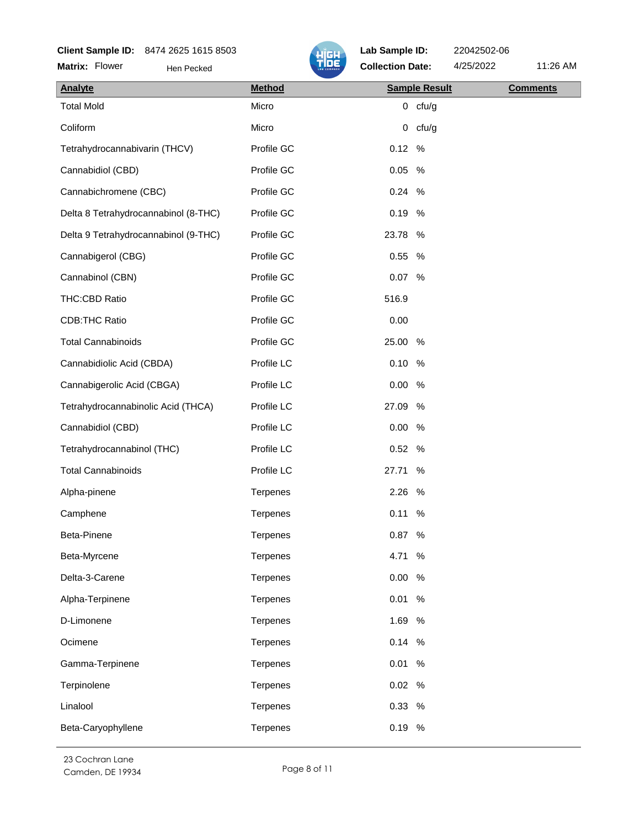# **Client Sample ID:** 8474 2625 1615 8503

Flower Hen Pecked **Flower Hension Collection Date:** 4/25/2022 11:26 AM **Matrix:**



| <b>Analyte</b>                       | <b>Method</b> |        | <b>Sample Result</b><br><b>Comments</b> |
|--------------------------------------|---------------|--------|-----------------------------------------|
| <b>Total Mold</b>                    | Micro         |        | $0$ cfu/g                               |
| Coliform                             | Micro         | 0      | cfu/g                                   |
| Tetrahydrocannabivarin (THCV)        | Profile GC    | 0.12   | %                                       |
| Cannabidiol (CBD)                    | Profile GC    | 0.05   | %                                       |
| Cannabichromene (CBC)                | Profile GC    | 0.24   | %                                       |
| Delta 8 Tetrahydrocannabinol (8-THC) | Profile GC    | 0.19   | %                                       |
| Delta 9 Tetrahydrocannabinol (9-THC) | Profile GC    | 23.78  | %                                       |
| Cannabigerol (CBG)                   | Profile GC    | 0.55   | %                                       |
| Cannabinol (CBN)                     | Profile GC    | 0.07   | %                                       |
| THC:CBD Ratio                        | Profile GC    | 516.9  |                                         |
| <b>CDB:THC Ratio</b>                 | Profile GC    | 0.00   |                                         |
| <b>Total Cannabinoids</b>            | Profile GC    | 25.00  | %                                       |
| Cannabidiolic Acid (CBDA)            | Profile LC    | 0.10   | %                                       |
| Cannabigerolic Acid (CBGA)           | Profile LC    | 0.00   | %                                       |
| Tetrahydrocannabinolic Acid (THCA)   | Profile LC    | 27.09  | %                                       |
| Cannabidiol (CBD)                    | Profile LC    | 0.00   | %                                       |
| Tetrahydrocannabinol (THC)           | Profile LC    | 0.52   | %                                       |
| <b>Total Cannabinoids</b>            | Profile LC    | 27.71  | %                                       |
| Alpha-pinene                         | Terpenes      | 2.26   | %                                       |
| Camphene                             | Terpenes      | 0.11   | %                                       |
| Beta-Pinene                          | Terpenes      | 0.87   | %                                       |
| Beta-Myrcene                         | Terpenes      | 4.71   | $\%$                                    |
| Delta-3-Carene                       | Terpenes      | 0.00   | $\%$                                    |
| Alpha-Terpinene                      | Terpenes      | 0.01   | $\%$                                    |
| D-Limonene                           | Terpenes      | 1.69   | %                                       |
| Ocimene                              | Terpenes      | 0.14   | $\%$                                    |
| Gamma-Terpinene                      | Terpenes      | 0.01   | $\%$                                    |
| Terpinolene                          | Terpenes      | 0.02   | $\%$                                    |
| Linalool                             | Terpenes      | 0.33 % |                                         |
| Beta-Caryophyllene                   | Terpenes      | 0.19 % |                                         |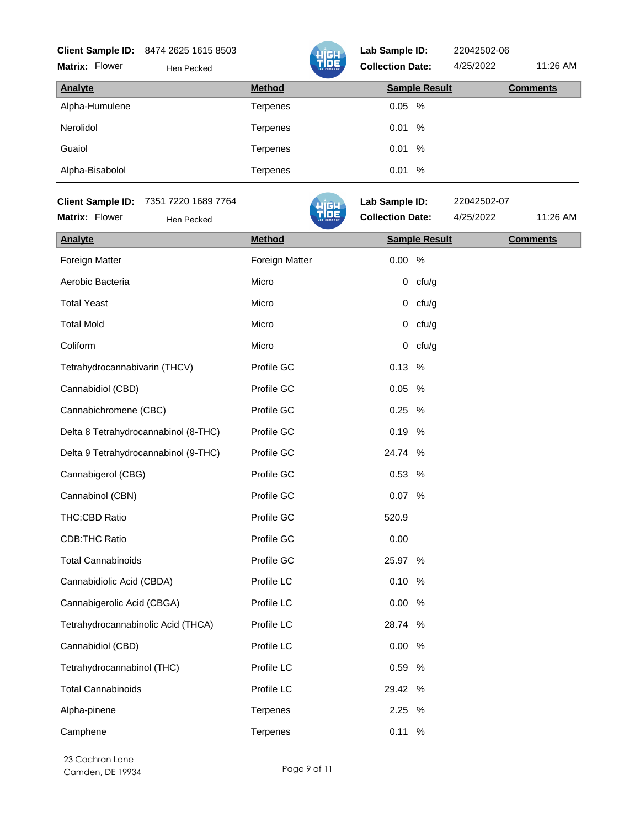#### **Client Sample ID:** 8474 2625 1615 8503

Flower Hen Pecked **Flower Hension Collection Date:** 4/25/2022 11:26 AM **Matrix:**



**Lab Sample ID:** 22042502-06

**Lab Sample ID:** 22042502-07

| <b>Analyte</b>  | <b>Method</b> | <b>Sample Result</b> | <b>Comments</b> |
|-----------------|---------------|----------------------|-----------------|
| Alpha-Humulene  | Terpenes      | $0.05\%$             |                 |
| Nerolidol       | Terpenes      | $\%$<br>0.01         |                 |
| Guaiol          | Terpenes      | $\%$<br>0.01         |                 |
| Alpha-Bisabolol | Terpenes      | $\%$<br>0.01         |                 |

## **Client Sample ID:** 7351 7220 1689 7764

**Matrix:**



| <b>Analyte</b>                       | <b>Method</b>  |       | <b>Sample Result</b> | <b>Comments</b> |
|--------------------------------------|----------------|-------|----------------------|-----------------|
| Foreign Matter                       | Foreign Matter | 0.00  | $\%$                 |                 |
| Aerobic Bacteria                     | Micro          |       | $0$ cfu/g            |                 |
| <b>Total Yeast</b>                   | Micro          |       | $0$ cfu/g            |                 |
| <b>Total Mold</b>                    | Micro          | 0     | cfu/g                |                 |
| Coliform                             | Micro          | 0     | cfu/g                |                 |
| Tetrahydrocannabivarin (THCV)        | Profile GC     | 0.13  | %                    |                 |
| Cannabidiol (CBD)                    | Profile GC     | 0.05  | %                    |                 |
| Cannabichromene (CBC)                | Profile GC     | 0.25  | %                    |                 |
| Delta 8 Tetrahydrocannabinol (8-THC) | Profile GC     | 0.19  | %                    |                 |
| Delta 9 Tetrahydrocannabinol (9-THC) | Profile GC     | 24.74 | $\%$                 |                 |
| Cannabigerol (CBG)                   | Profile GC     | 0.53  | $\%$                 |                 |
| Cannabinol (CBN)                     | Profile GC     | 0.07  | %                    |                 |
| THC:CBD Ratio                        | Profile GC     | 520.9 |                      |                 |
| <b>CDB:THC Ratio</b>                 | Profile GC     | 0.00  |                      |                 |
| <b>Total Cannabinoids</b>            | Profile GC     | 25.97 | $\%$                 |                 |
| Cannabidiolic Acid (CBDA)            | Profile LC     | 0.10  | %                    |                 |
| Cannabigerolic Acid (CBGA)           | Profile LC     | 0.00  | $\%$                 |                 |
| Tetrahydrocannabinolic Acid (THCA)   | Profile LC     | 28.74 | $\%$                 |                 |
| Cannabidiol (CBD)                    | Profile LC     | 0.00  | %                    |                 |
| Tetrahydrocannabinol (THC)           | Profile LC     | 0.59  | %                    |                 |
| <b>Total Cannabinoids</b>            | Profile LC     | 29.42 | %                    |                 |
| Alpha-pinene                         | Terpenes       | 2.25  | %                    |                 |
| Camphene                             | Terpenes       | 0.11  | $\%$                 |                 |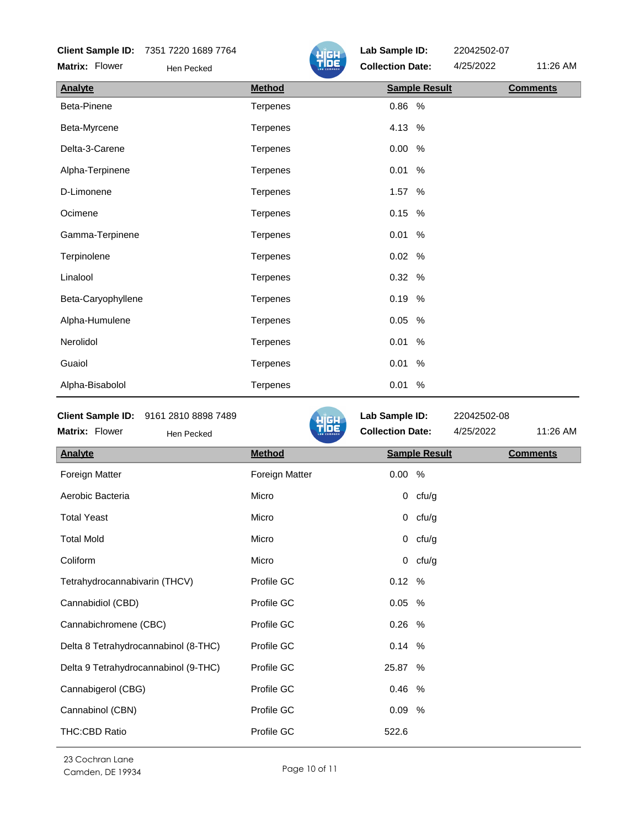#### **Client Sample ID:** 7351 7220 1689 7764

Flower Hen Pecked **Flower Hension Collection Date:** 4/25/2022 11:26 AM **Matrix:**



**Lab Sample ID:** 22042502-07

| <b>Analyte</b>     | <b>Method</b>   | <b>Sample Result</b> | <b>Comments</b> |
|--------------------|-----------------|----------------------|-----------------|
| Beta-Pinene        | Terpenes        | 0.86 %               |                 |
| Beta-Myrcene       | <b>Terpenes</b> | 4.13 %               |                 |
| Delta-3-Carene     | Terpenes        | 0.00 %               |                 |
| Alpha-Terpinene    | Terpenes        | 0.01<br>%            |                 |
| D-Limonene         | <b>Terpenes</b> | 1.57 %               |                 |
| Ocimene            | <b>Terpenes</b> | 0.15<br>%            |                 |
| Gamma-Terpinene    | <b>Terpenes</b> | 0.01 %               |                 |
| Terpinolene        | <b>Terpenes</b> | 0.02 %               |                 |
| Linalool           | Terpenes        | 0.32 %               |                 |
| Beta-Caryophyllene | <b>Terpenes</b> | 0.19 %               |                 |
| Alpha-Humulene     | Terpenes        | 0.05<br>%            |                 |
| Nerolidol          | Terpenes        | 0.01 %               |                 |
| Guaiol             | <b>Terpenes</b> | 0.01 %               |                 |
| Alpha-Bisabolol    | Terpenes        | 0.01 %               |                 |

| <b>Client Sample ID:</b> | 9161 2810 8898 7489 |                       | Lab Sample ID:          | 22042502-08           |
|--------------------------|---------------------|-----------------------|-------------------------|-----------------------|
| <b>Matrix: Flower</b>    | Hen Pecked          | <b>HIGH</b>           | <b>Collection Date:</b> | 4/25/2022<br>11:26 AM |
| <b>Analyte</b>           |                     | <b>Method</b>         | <b>Sample Result</b>    | <b>Comments</b>       |
| <b>Foreign Matter</b>    |                     | <b>Foreign Matter</b> | %<br>0.00               |                       |
| Aerobic Bacteria         |                     | Micro                 | $0$ cfu/g               |                       |
| <b>Total Yeast</b>       |                     | Micro                 | cfu/q<br>0              |                       |

| Aerobic Bacteria                     | Micro      |          | $0$ cfu/g |
|--------------------------------------|------------|----------|-----------|
| <b>Total Yeast</b>                   | Micro      |          | $0$ cfu/g |
| <b>Total Mold</b>                    | Micro      |          | $0$ cfu/g |
| Coliform                             | Micro      |          | $0$ cfu/g |
| Tetrahydrocannabivarin (THCV)        | Profile GC | 0.12 %   |           |
| Cannabidiol (CBD)                    | Profile GC | $0.05\%$ |           |
| Cannabichromene (CBC)                | Profile GC | 0.26%    |           |
| Delta 8 Tetrahydrocannabinol (8-THC) | Profile GC | 0.14%    |           |
| Delta 9 Tetrahydrocannabinol (9-THC) | Profile GC | 25.87 %  |           |
| Cannabigerol (CBG)                   | Profile GC | 0.46%    |           |
| Cannabinol (CBN)                     | Profile GC | 0.09 %   |           |
| THC:CBD Ratio                        | Profile GC | 522.6    |           |